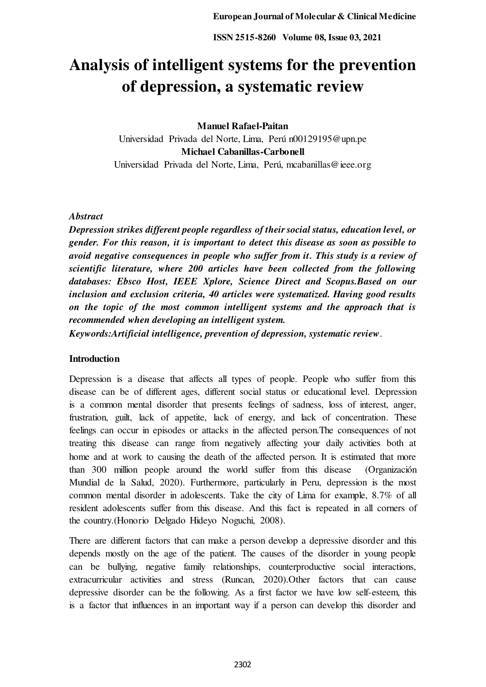# **Analysis of intelligent systems for the prevention of depression, a systematic review**

# **Manuel Rafael-Paitan**

Universidad Privada del Norte, Lima, Perú n00129195@upn.pe **Michael Cabanillas-Carbonell**  Universidad Privada del Norte, Lima, Perú, mcabanillas@ieee.org

# *Abstract*

*Depression strikes different people regardless of their social status, education level, or gender. For this reason, it is important to detect this disease as soon as possible to avoid negative consequences in people who suffer from it. This study is a review of scientific literature, where 200 articles have been collected from the following databases: Ebsco Host, IEEE Xplore, Science Direct and Scopus.Based on our inclusion and exclusion criteria, 40 articles were systematized. Having good results on the topic of the most common intelligent systems and the approach that is recommended when developing an intelligent system.* 

*Keywords:Artificial intelligence, prevention of depression, systematic review*.

# **Introduction**

Depression is a disease that affects all types of people. People who suffer from this disease can be of different ages, different social status or educational level. Depression is a common mental disorder that presents feelings of sadness, loss of interest, anger, frustration, guilt, lack of appetite, lack of energy, and lack of concentration. These feelings can occur in episodes or attacks in the affected person.The consequences of not treating this disease can range from negatively affecting your daily activities both at home and at work to causing the death of the affected person. It is estimated that more than 300 million people around the world suffer from this disease (Organización Mundial de la Salud, 2020). Furthermore, particularly in Peru, depression is the most common mental disorder in adolescents. Take the city of Lima for example, 8.7% of all resident adolescents suffer from this disease. And this fact is repeated in all corners of the country.(Honorio Delgado Hideyo Noguchi, 2008).

There are different factors that can make a person develop a depressive disorder and this depends mostly on the age of the patient. The causes of the disorder in young people can be bullying, negative family relationships, counterproductive social interactions, extracurricular activities and stress (Runcan, 2020).Other factors that can cause depressive disorder can be the following. As a first factor we have low self-esteem, this is a factor that influences in an important way if a person can develop this disorder and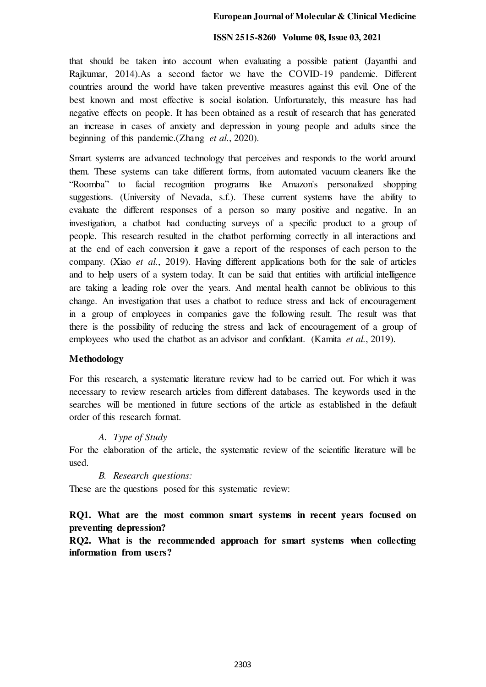#### **ISSN 2515-8260 Volume 08, Issue 03, 2021**

that should be taken into account when evaluating a possible patient (Jayanthi and Rajkumar, 2014).As a second factor we have the COVID-19 pandemic. Different countries around the world have taken preventive measures against this evil. One of the best known and most effective is social isolation. Unfortunately, this measure has had negative effects on people. It has been obtained as a result of research that has generated an increase in cases of anxiety and depression in young people and adults since the beginning of this pandemic.(Zhang *et al.*, 2020).

Smart systems are advanced technology that perceives and responds to the world around them. These systems can take different forms, from automated vacuum cleaners like the "Roomba" to facial recognition programs like Amazon's personalized shopping suggestions. (University of Nevada, s.f.). These current systems have the ability to evaluate the different responses of a person so many positive and negative. In an investigation, a chatbot had conducting surveys of a specific product to a group of people. This research resulted in the chatbot performing correctly in all interactions and at the end of each conversion it gave a report of the responses of each person to the company. (Xiao *et al.*, 2019). Having different applications both for the sale of articles and to help users of a system today. It can be said that entities with artificial intelligence are taking a leading role over the years. And mental health cannot be oblivious to this change. An investigation that uses a chatbot to reduce stress and lack of encouragement in a group of employees in companies gave the following result. The result was that there is the possibility of reducing the stress and lack of encouragement of a group of employees who used the chatbot as an advisor and confidant. (Kamita *et al.*, 2019).

#### **Methodology**

For this research, a systematic literature review had to be carried out. For which it was necessary to review research articles from different databases. The keywords used in the searches will be mentioned in future sections of the article as established in the default order of this research format.

#### *A. Type of Study*

For the elaboration of the article, the systematic review of the scientific literature will be used.

#### *B. Research questions:*

These are the questions posed for this systematic review:

# **RQ1. What are the most common smart systems in recent years focused on preventing depression?**

**RQ2. What is the recommended approach for smart systems when collecting information from users?**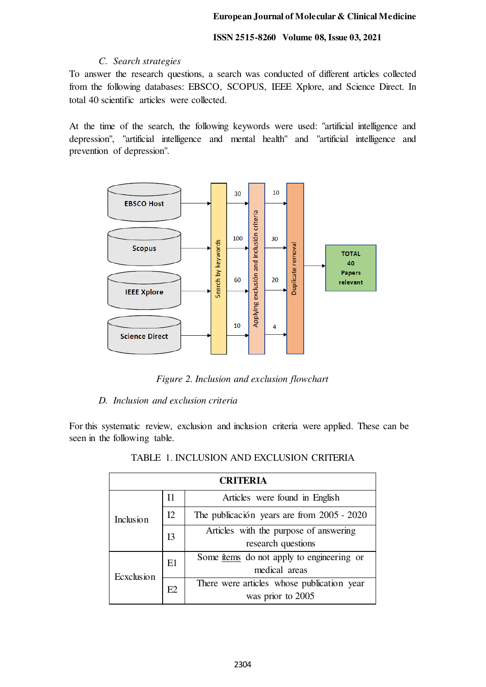# *C. Search strategies*

To answer the research questions, a search was conducted of different articles collected from the following databases: EBSCO, SCOPUS, IEEE Xplore, and Science Direct. In total 40 scientific articles were collected.

At the time of the search, the following keywords were used: "artificial intelligence and depression", "artificial intelligence and mental health" and "artificial intelligence and prevention of depression".



*Figure 2. Inclusion and exclusion flowchart* 

# *D. Inclusion and exclusion criteria*

For this systematic review, exclusion and inclusion criteria were applied. These can be seen in the following table.

| <b>CRITERIA</b> |                |                                                  |  |  |  |
|-----------------|----------------|--------------------------------------------------|--|--|--|
| Inclusion       | I <sub>1</sub> | Articles were found in English                   |  |  |  |
|                 | I2             | The publicación years are from 2005 - 2020       |  |  |  |
|                 | I <sub>3</sub> | Articles with the purpose of answering           |  |  |  |
|                 |                | research questions                               |  |  |  |
| Ecxclusion      | E1             | Some <u>frems</u> do not apply to engineering or |  |  |  |
|                 |                | medical areas                                    |  |  |  |
|                 | E2             | There were articles whose publication year       |  |  |  |
|                 |                | was prior to 2005                                |  |  |  |

# TABLE 1. INCLUSION AND EXCLUSION CRITERIA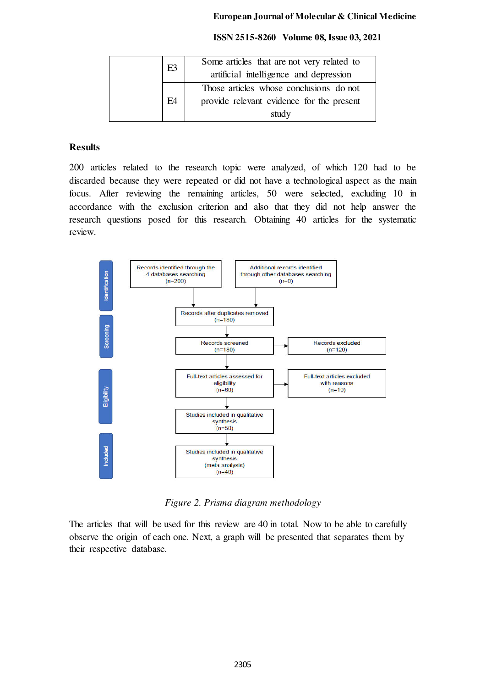#### **ISSN 2515-8260 Volume 08, Issue 03, 2021**

| E3             | Some articles that are not very related to |
|----------------|--------------------------------------------|
|                | artificial intelligence and depression     |
|                | Those articles whose conclusions do not    |
| E <sub>4</sub> | provide relevant evidence for the present  |
|                | study                                      |

#### **Results**

200 articles related to the research topic were analyzed, of which 120 had to be discarded because they were repeated or did not have a technological aspect as the main focus. After reviewing the remaining articles, 50 were selected, excluding 10 in accordance with the exclusion criterion and also that they did not help answer the research questions posed for this research. Obtaining 40 articles for the systematic review.



*Figure 2. Prisma diagram methodology*

The articles that will be used for this review are 40 in total. Now to be able to carefully observe the origin of each one. Next, a graph will be presented that separates them by their respective database.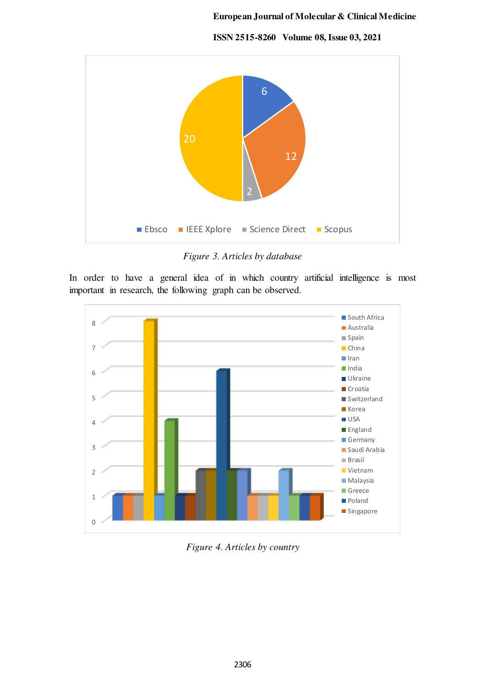**ISSN 2515-8260 Volume 08, Issue 03, 2021**



*Figure 3. Articles by database* 

In order to have a general idea of in which country artificial intelligence is most important in research, the following graph can be observed.



*Figure 4. Articles by country*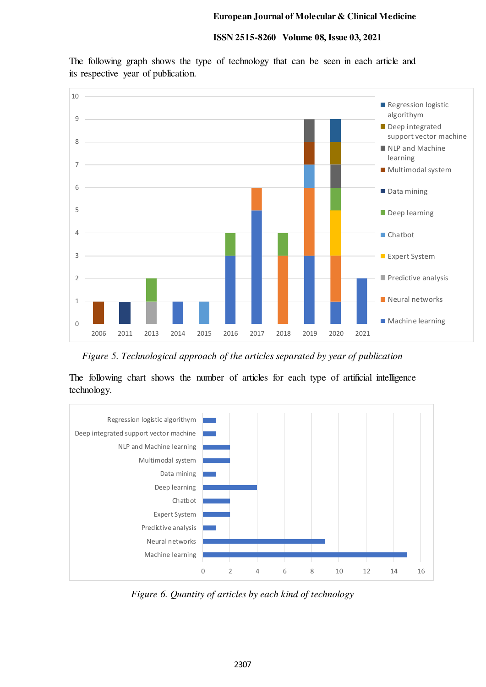#### **ISSN 2515-8260 Volume 08, Issue 03, 2021**

The following graph shows the type of technology that can be seen in each article and its respective year of publication.



*Figure 5. Technological approach of the articles separated by year of publication* 

The following chart shows the number of articles for each type of artificial intelligence technology.



*Figure 6. Quantity of articles by each kind of technology*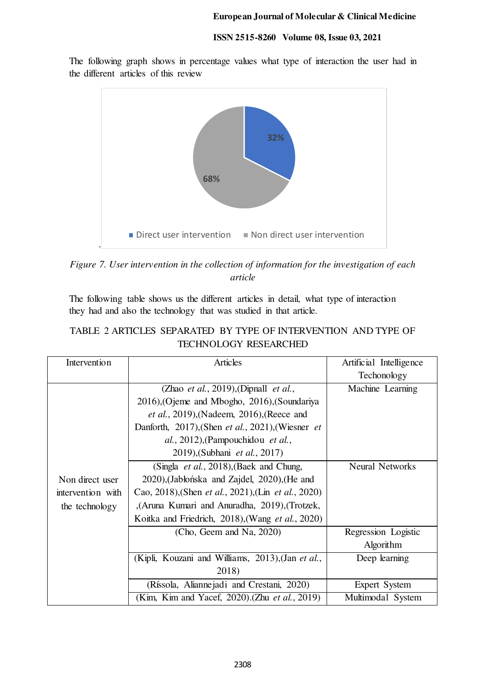The following graph shows in percentage values what type of interaction the user had in the different articles of this review



*Figure 7. User intervention in the collection of information for the investigation of each article* 

The following table shows us the different articles in detail, what type of interaction they had and also the technology that was studied in that article.

| TECHNOLOGY RESEARCHED |                                                                     |                         |  |  |  |
|-----------------------|---------------------------------------------------------------------|-------------------------|--|--|--|
| Intervention          | <b>Articles</b>                                                     | Artificial Intelligence |  |  |  |
|                       |                                                                     | Techonology             |  |  |  |
|                       | (Zhao et al., 2019), (Dipnall et al.,                               | Machine Learning        |  |  |  |
|                       | 2016), Ojeme and Mbogho, 2016), (Soundariya                         |                         |  |  |  |
|                       | <i>et al.</i> , 2019), (Nadeem, 2016), (Reece and                   |                         |  |  |  |
|                       | Danforth, 2017), (Shen et al., 2021), (Wiesner et                   |                         |  |  |  |
|                       | al., 2012), (Pampouchidou et al.,                                   |                         |  |  |  |
|                       | 2019), (Subhani et al., 2017)                                       |                         |  |  |  |
|                       | (Singla <i>et al.</i> , 2018), (Baek and Chung,                     | <b>Neural Networks</b>  |  |  |  |
| Non direct user       | 2020), (Jabłońska and Zajdel, 2020), (He and                        |                         |  |  |  |
| intervention with     | Cao, 2018), (Shen <i>et al.</i> , 2021), (Lin <i>et al.</i> , 2020) |                         |  |  |  |
| the technology        | , (Aruna Kumari and Anuradha, 2019), (Trotzek,                      |                         |  |  |  |
|                       | Koitka and Friedrich, 2018), (Wang et al., 2020)                    |                         |  |  |  |
|                       | (Cho, Geem and Na, 2020)                                            | Regression Logistic     |  |  |  |
|                       |                                                                     | Algorithm               |  |  |  |
|                       | (Kipli, Kouzani and Williams, 2013), (Jan et al.,                   | Deep learning           |  |  |  |
|                       | 2018)                                                               |                         |  |  |  |
|                       | (Ríssola, Aliannejadi and Crestani, 2020)                           | <b>Expert System</b>    |  |  |  |
|                       | (Kim, Kim and Yacef, 2020). (Zhu <i>et al.</i> , 2019)              | Multimodal System       |  |  |  |

# TABLE 2 ARTICLES SEPARATED BY TYPE OF INTERVENTION AND TYPE OF TECHNOLOGY RESEARCHED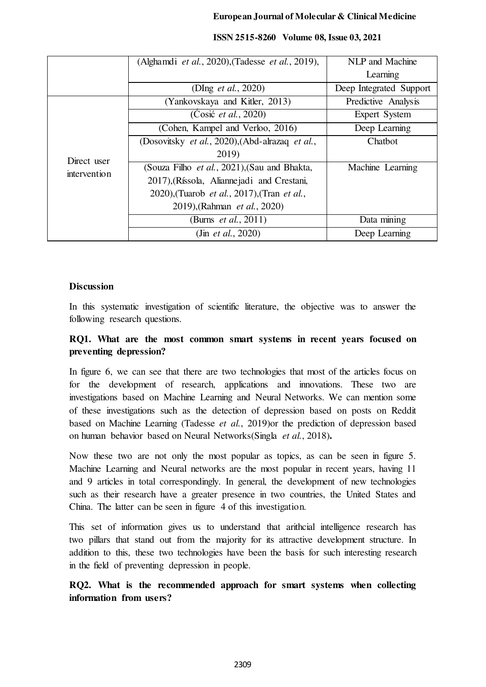|                             | (Alghamdi et al., 2020), (Tadesse et al., 2019), | NLP and Machine         |
|-----------------------------|--------------------------------------------------|-------------------------|
|                             |                                                  | Learning                |
|                             | (DIng <i>et al.</i> , 2020)                      | Deep Integrated Support |
| Direct user<br>intervention | (Yankovskaya and Kitler, 2013)                   | Predictive Analysis     |
|                             | $(Cosi\acute{c}$ <i>et al.</i> , 2020)           | Expert System           |
|                             | (Cohen, Kampel and Verloo, 2016)                 | Deep Learning           |
|                             | (Dosovitsky et al., 2020), (Abd-alrazaq et al.,  | Chatbot                 |
|                             | 2019)                                            |                         |
|                             | (Souza Filho et al., 2021), (Sau and Bhakta,     | Machine Learning        |
|                             | 2017), (Ríssola, Aliannejadi and Crestani,       |                         |
|                             | 2020), (Tuarob et al., 2017), (Tran et al.,      |                         |
|                             | 2019), (Rahman <i>et al.</i> , 2020)             |                         |
|                             | (Burns <i>et al.</i> , 2011)                     | Data mining             |
|                             | (Jin <i>et al.</i> , 2020)                       | Deep Learning           |

#### **ISSN 2515-8260 Volume 08, Issue 03, 2021**

# **Discussion**

In this systematic investigation of scientific literature, the objective was to answer the following research questions.

# **RQ1. What are the most common smart systems in recent years focused on preventing depression?**

In figure 6, we can see that there are two technologies that most of the articles focus on for the development of research, applications and innovations. These two are investigations based on Machine Learning and Neural Networks. We can mention some of these investigations such as the detection of depression based on posts on Reddit based on Machine Learning (Tadesse *et al.*, 2019)or the prediction of depression based on human behavior based on Neural Networks(Singla *et al.*, 2018)**.** 

Now these two are not only the most popular as topics, as can be seen in figure 5. Machine Learning and Neural networks are the most popular in recent years, having 11 and 9 articles in total correspondingly. In general, the development of new technologies such as their research have a greater presence in two countries, the United States and China. The latter can be seen in figure 4 of this investigation.

This set of information gives us to understand that arithcial intelligence research has two pillars that stand out from the majority for its attractive development structure. In addition to this, these two technologies have been the basis for such interesting research in the field of preventing depression in people.

**RQ2. What is the recommended approach for smart systems when collecting information from users?**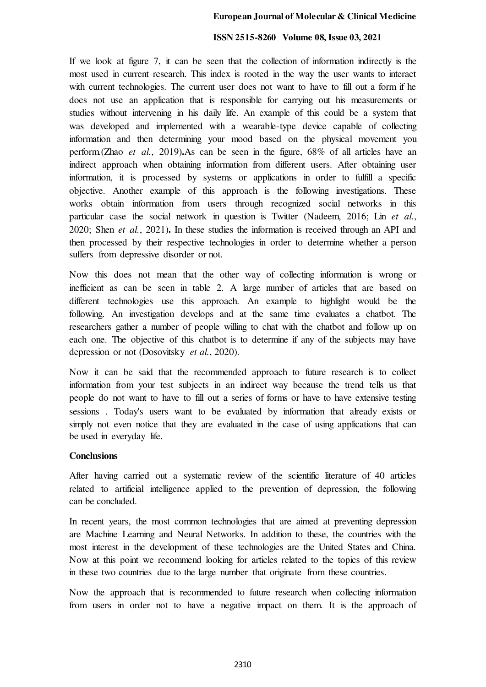#### **ISSN 2515-8260 Volume 08, Issue 03, 2021**

If we look at figure 7, it can be seen that the collection of information indirectly is the most used in current research. This index is rooted in the way the user wants to interact with current technologies. The current user does not want to have to fill out a form if he does not use an application that is responsible for carrying out his measurements or studies without intervening in his daily life. An example of this could be a system that was developed and implemented with a wearable-type device capable of collecting information and then determining your mood based on the physical movement you perform.(Zhao *et al.*, 2019)**.**As can be seen in the figure, 68% of all articles have an indirect approach when obtaining information from different users. After obtaining user information, it is processed by systems or applications in order to fulfill a specific objective. Another example of this approach is the following investigations. These works obtain information from users through recognized social networks in this particular case the social network in question is Twitter (Nadeem, 2016; Lin *et al.*, 2020; Shen *et al.*, 2021)**.** In these studies the information is received through an API and then processed by their respective technologies in order to determine whether a person suffers from depressive disorder or not.

Now this does not mean that the other way of collecting information is wrong or inefficient as can be seen in table 2. A large number of articles that are based on different technologies use this approach. An example to highlight would be the following. An investigation develops and at the same time evaluates a chatbot. The researchers gather a number of people willing to chat with the chatbot and follow up on each one. The objective of this chatbot is to determine if any of the subjects may have depression or not (Dosovitsky *et al.*, 2020).

Now it can be said that the recommended approach to future research is to collect information from your test subjects in an indirect way because the trend tells us that people do not want to have to fill out a series of forms or have to have extensive testing sessions . Today's users want to be evaluated by information that already exists or simply not even notice that they are evaluated in the case of using applications that can be used in everyday life.

#### **Conclusions**

After having carried out a systematic review of the scientific literature of 40 articles related to artificial intelligence applied to the prevention of depression, the following can be concluded.

In recent years, the most common technologies that are aimed at preventing depression are Machine Learning and Neural Networks. In addition to these, the countries with the most interest in the development of these technologies are the United States and China. Now at this point we recommend looking for articles related to the topics of this review in these two countries due to the large number that originate from these countries.

Now the approach that is recommended to future research when collecting information from users in order not to have a negative impact on them. It is the approach of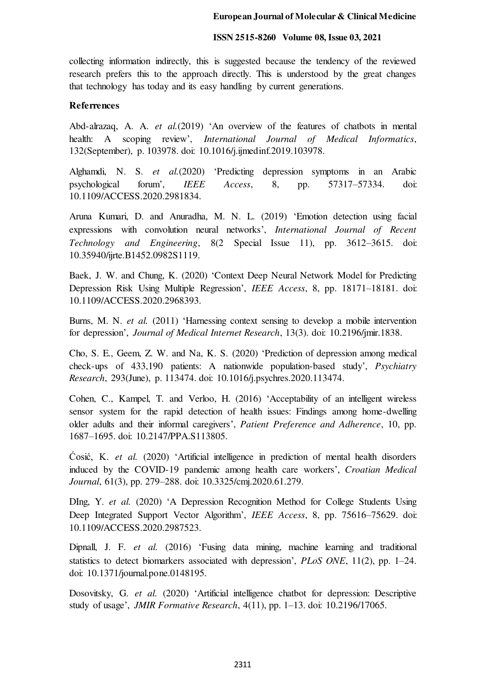#### **ISSN 2515-8260 Volume 08, Issue 03, 2021**

collecting information indirectly, this is suggested because the tendency of the reviewed research prefers this to the approach directly. This is understood by the great changes that technology has today and its easy handling by current generations.

#### **Referrences**

Abd-alrazaq, A. A. *et al.*(2019) 'An overview of the features of chatbots in mental health: A scoping review', *International Journal of Medical Informatics*, 132(September), p. 103978. doi: 10.1016/j.ijmedinf.2019.103978.

Alghamdi, N. S. *et al.*(2020) 'Predicting depression symptoms in an Arabic psychological forum', *IEEE Access*, 8, pp. 57317–57334. doi: 10.1109/ACCESS.2020.2981834.

Aruna Kumari, D. and Anuradha, M. N. L. (2019) 'Emotion detection using facial expressions with convolution neural networks', *International Journal of Recent Technology and Engineering*, 8(2 Special Issue 11), pp. 3612–3615. doi: 10.35940/ijrte.B1452.0982S1119.

Baek, J. W. and Chung, K. (2020) 'Context Deep Neural Network Model for Predicting Depression Risk Using Multiple Regression', *IEEE Access*, 8, pp. 18171–18181. doi: 10.1109/ACCESS.2020.2968393.

Burns, M. N. *et al.* (2011) 'Harnessing context sensing to develop a mobile intervention for depression', *Journal of Medical Internet Research*, 13(3). doi: 10.2196/jmir.1838.

Cho, S. E., Geem, Z. W. and Na, K. S. (2020) 'Prediction of depression among medical check-ups of 433,190 patients: A nationwide population-based study', *Psychiatry Research*, 293(June), p. 113474. doi: 10.1016/j.psychres.2020.113474.

Cohen, C., Kampel, T. and Verloo, H. (2016) 'Acceptability of an intelligent wireless sensor system for the rapid detection of health issues: Findings among home-dwelling older adults and their informal caregivers', *Patient Preference and Adherence*, 10, pp. 1687–1695. doi: 10.2147/PPA.S113805.

Ćosić, K. *et al.* (2020) 'Artificial intelligence in prediction of mental health disorders induced by the COVID-19 pandemic among health care workers', *Croatian Medical Journal*, 61(3), pp. 279–288. doi: 10.3325/cmj.2020.61.279.

DIng, Y. *et al.* (2020) 'A Depression Recognition Method for College Students Using Deep Integrated Support Vector Algorithm', *IEEE Access*, 8, pp. 75616–75629. doi: 10.1109/ACCESS.2020.2987523.

Dipnall, J. F. *et al.* (2016) 'Fusing data mining, machine learning and traditional statistics to detect biomarkers associated with depression', *PLoS ONE*, 11(2), pp. 1–24. doi: 10.1371/journal.pone.0148195.

Dosovitsky, G. *et al.* (2020) 'Artificial intelligence chatbot for depression: Descriptive study of usage', *JMIR Formative Research*, 4(11), pp. 1–13. doi: 10.2196/17065.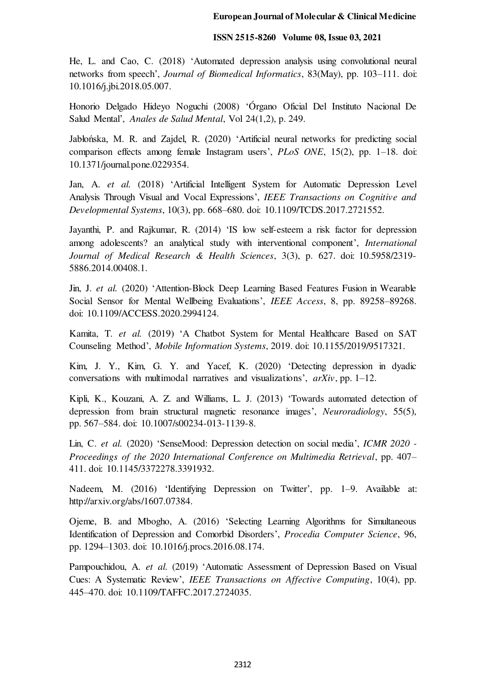He, L. and Cao, C. (2018) 'Automated depression analysis using convolutional neural networks from speech', *Journal of Biomedical Informatics*, 83(May), pp. 103–111. doi: 10.1016/j.jbi.2018.05.007.

Honorio Delgado Hideyo Noguchi (2008) 'Órgano Oficial Del Instituto Nacional De Salud Mental', *Anales de Salud Mental*, Vol 24(1,2), p. 249.

Jabłońska, M. R. and Zajdel, R. (2020) 'Artificial neural networks for predicting social comparison effects among female Instagram users', *PLoS ONE*, 15(2), pp. 1–18. doi: 10.1371/journal.pone.0229354.

Jan, A. *et al.* (2018) 'Artificial Intelligent System for Automatic Depression Level Analysis Through Visual and Vocal Expressions', *IEEE Transactions on Cognitive and Developmental Systems*, 10(3), pp. 668–680. doi: 10.1109/TCDS.2017.2721552.

Jayanthi, P. and Rajkumar, R. (2014) 'IS low self-esteem a risk factor for depression among adolescents? an analytical study with interventional component', *International Journal of Medical Research & Health Sciences*, 3(3), p. 627. doi: 10.5958/2319- 5886.2014.00408.1.

Jin, J. *et al.* (2020) 'Attention-Block Deep Learning Based Features Fusion in Wearable Social Sensor for Mental Wellbeing Evaluations', *IEEE Access*, 8, pp. 89258–89268. doi: 10.1109/ACCESS.2020.2994124.

Kamita, T. *et al.* (2019) 'A Chatbot System for Mental Healthcare Based on SAT Counseling Method', *Mobile Information Systems*, 2019. doi: 10.1155/2019/9517321.

Kim, J. Y., Kim, G. Y. and Yacef, K. (2020) 'Detecting depression in dyadic conversations with multimodal narratives and visualizations', *arXiv*, pp. 1–12.

Kipli, K., Kouzani, A. Z. and Williams, L. J. (2013) 'Towards automated detection of depression from brain structural magnetic resonance images', *Neuroradiology*, 55(5), pp. 567–584. doi: 10.1007/s00234-013-1139-8.

Lin, C. *et al.* (2020) 'SenseMood: Depression detection on social media', *ICMR 2020 - Proceedings of the 2020 International Conference on Multimedia Retrieval*, pp. 407– 411. doi: 10.1145/3372278.3391932.

Nadeem, M. (2016) 'Identifying Depression on Twitter', pp. 1–9. Available at: http://arxiv.org/abs/1607.07384.

Ojeme, B. and Mbogho, A. (2016) 'Selecting Learning Algorithms for Simultaneous Identification of Depression and Comorbid Disorders', *Procedia Computer Science*, 96, pp. 1294–1303. doi: 10.1016/j.procs.2016.08.174.

Pampouchidou, A. *et al.* (2019) 'Automatic Assessment of Depression Based on Visual Cues: A Systematic Review', *IEEE Transactions on Affective Computing*, 10(4), pp. 445–470. doi: 10.1109/TAFFC.2017.2724035.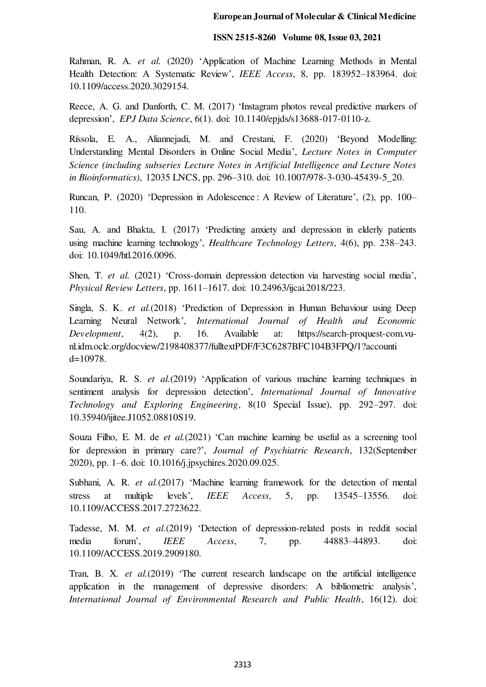Rahman, R. A. *et al.* (2020) 'Application of Machine Learning Methods in Mental Health Detection: A Systematic Review', *IEEE Access*, 8, pp. 183952–183964. doi: 10.1109/access.2020.3029154.

Reece, A. G. and Danforth, C. M. (2017) 'Instagram photos reveal predictive markers of depression', *EPJ Data Science*, 6(1). doi: 10.1140/epjds/s13688-017-0110-z.

Ríssola, E. A., Aliannejadi, M. and Crestani, F. (2020) 'Beyond Modelling: Understanding Mental Disorders in Online Social Media', *Lecture Notes in Computer Science (including subseries Lecture Notes in Artificial Intelligence and Lecture Notes in Bioinformatics)*, 12035 LNCS, pp. 296–310. doi: 10.1007/978-3-030-45439-5\_20.

Runcan, P. (2020) 'Depression in Adolescence : A Review of Literature', (2), pp. 100– 110.

Sau, A. and Bhakta, I. (2017) 'Predicting anxiety and depression in elderly patients using machine learning technology', *Healthcare Technology Letters*, 4(6), pp. 238–243. doi: 10.1049/htl.2016.0096.

Shen, T. *et al.* (2021) 'Cross-domain depression detection via harvesting social media', *Physical Review Letters*, pp. 1611–1617. doi: 10.24963/ijcai.2018/223.

Singla, S. K. *et al.*(2018) 'Prediction of Depression in Human Behaviour using Deep Learning Neural Network', *International Journal of Health and Economic Development*, 4(2), p. 16. Available at: https://search-proquest-com.vunl.idm.oclc.org/docview/2198408377/fulltextPDF/F3C6287BFC104B3FPQ/1?accounti d=10978.

Soundariya, R. S. *et al.*(2019) 'Application of various machine learning techniques in sentiment analysis for depression detection', *International Journal of Innovative Technology and Exploring Engineering*, 8(10 Special Issue), pp. 292–297. doi: 10.35940/ijitee.J1052.08810S19.

Souza Filho, E. M. de *et al.*(2021) 'Can machine learning be useful as a screening tool for depression in primary care?', *Journal of Psychiatric Research*, 132(September 2020), pp. 1–6. doi: 10.1016/j.jpsychires.2020.09.025.

Subhani, A. R. *et al.*(2017) 'Machine learning framework for the detection of mental stress at multiple levels', *IEEE Access*, 5, pp. 13545–13556. doi: 10.1109/ACCESS.2017.2723622.

Tadesse, M. M. *et al.*(2019) 'Detection of depression-related posts in reddit social media forum', *IEEE Access*, 7, pp. 44883–44893. doi: 10.1109/ACCESS.2019.2909180.

Tran, B. X. *et al.*(2019) 'The current research landscape on the artificial intelligence application in the management of depressive disorders: A bibliometric analysis', *International Journal of Environmental Research and Public Health*, 16(12). doi: